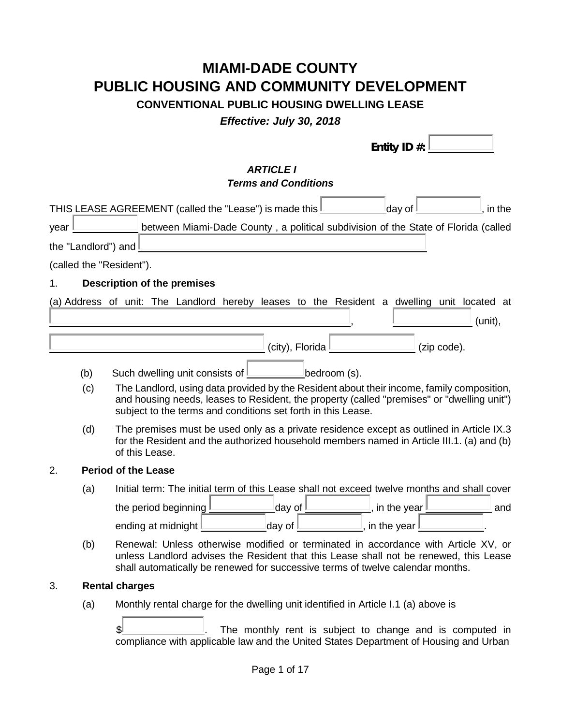# **MIAMI-DADE COUNTY PUBLIC HOUSING AND COMMUNITY DEVELOPMENT**

# **CONVENTIONAL PUBLIC HOUSING DWELLING LEASE**

*Effective: July 30, 2018*

|      |                     | Entity ID #:                                                                                                                                                                                                                                                  |
|------|---------------------|---------------------------------------------------------------------------------------------------------------------------------------------------------------------------------------------------------------------------------------------------------------|
|      |                     | <b>ARTICLE I</b><br><b>Terms and Conditions</b>                                                                                                                                                                                                               |
|      |                     | THIS LEASE AGREEMENT (called the "Lease") is made this I<br>day of<br>, in the                                                                                                                                                                                |
| year |                     | between Miami-Dade County, a political subdivision of the State of Florida (called                                                                                                                                                                            |
|      | the "Landlord") and |                                                                                                                                                                                                                                                               |
|      |                     | (called the "Resident").                                                                                                                                                                                                                                      |
| 1.   |                     | <b>Description of the premises</b>                                                                                                                                                                                                                            |
|      |                     | (a) Address of unit: The Landlord hereby leases to the Resident a dwelling unit located at<br>(unit),                                                                                                                                                         |
|      |                     | (city), Florida $\mathbf 1$<br>(zip code).                                                                                                                                                                                                                    |
|      | (b)<br>(c)          | bedroom (s).<br>Such dwelling unit consists of<br>The Landlord, using data provided by the Resident about their income, family composition,<br>and housing needs, leases to Resident, the property (called "premises" or "dwelling unit")                     |
|      |                     | subject to the terms and conditions set forth in this Lease.                                                                                                                                                                                                  |
|      | (d)                 | The premises must be used only as a private residence except as outlined in Article IX.3<br>for the Resident and the authorized household members named in Article III.1. (a) and (b)<br>of this Lease.                                                       |
| 2.   |                     | <b>Period of the Lease</b>                                                                                                                                                                                                                                    |
|      | (a)                 | Initial term: The initial term of this Lease shall not exceed twelve months and shall cover                                                                                                                                                                   |
|      |                     | <u>l</u> day of <u>L</u><br>the period beginning I<br>$\_$ , in the year $\_$<br>and                                                                                                                                                                          |
|      |                     | ____________day of <u>L</u><br>$\overline{\phantom{a}}$ in the year $\overline{\phantom{a}}$<br>ending at midnight I                                                                                                                                          |
|      | (b)                 | Renewal: Unless otherwise modified or terminated in accordance with Article XV, or<br>unless Landlord advises the Resident that this Lease shall not be renewed, this Lease<br>shall automatically be renewed for successive terms of twelve calendar months. |
| 3.   |                     | <b>Rental charges</b>                                                                                                                                                                                                                                         |
|      | (a)                 | Monthly rental charge for the dwelling unit identified in Article I.1 (a) above is                                                                                                                                                                            |
|      |                     | ß.<br>The monthly rent is subject to change and is computed in<br>compliance with applicable law and the United States Department of Housing and Urban                                                                                                        |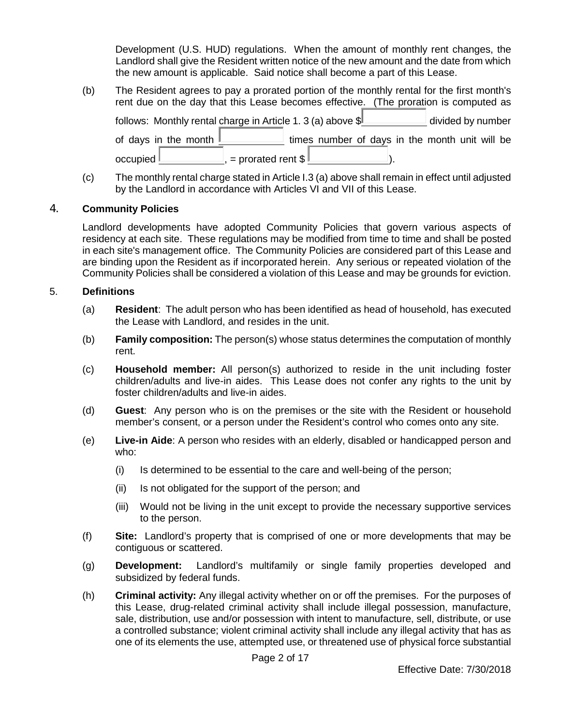Development (U.S. HUD) regulations. When the amount of monthly rent changes, the Landlord shall give the Resident written notice of the new amount and the date from which the new amount is applicable. Said notice shall become a part of this Lease.

- (b) The Resident agrees to pay a prorated portion of the monthly rental for the first month's rent due on the day that this Lease becomes effective. (The proration is computed as follows: Monthly rental charge in Article 1. 3 (a) above  $\frac{1}{2}$  divided by number of days in the month times number of days in the month unit will be occupied , = prorated rent \$ ).
- (c) The monthly rental charge stated in Article I.3 (a) above shall remain in effect until adjusted by the Landlord in accordance with Articles VI and VII of this Lease.

### 4. **Community Policies**

Landlord developments have adopted Community Policies that govern various aspects of residency at each site. These regulations may be modified from time to time and shall be posted in each site's management office. The Community Policies are considered part of this Lease and are binding upon the Resident as if incorporated herein. Any serious or repeated violation of the Community Policies shall be considered a violation of this Lease and may be grounds for eviction.

### 5. **Definitions**

- (a) **Resident**: The adult person who has been identified as head of household, has executed the Lease with Landlord, and resides in the unit.
- (b) **Family composition:** The person(s) whose status determines the computation of monthly rent.
- (c) **Household member:** All person(s) authorized to reside in the unit including foster children/adults and live-in aides. This Lease does not confer any rights to the unit by foster children/adults and live-in aides.
- (d) **Guest**: Any person who is on the premises or the site with the Resident or household member's consent, or a person under the Resident's control who comes onto any site.
- (e) **Live-in Aide**: A person who resides with an elderly, disabled or handicapped person and who:
	- (i) Is determined to be essential to the care and well-being of the person;
	- (ii) Is not obligated for the support of the person; and
	- (iii) Would not be living in the unit except to provide the necessary supportive services to the person.
- (f) **Site:** Landlord's property that is comprised of one or more developments that may be contiguous or scattered.
- (g) **Development:** Landlord's multifamily or single family properties developed and subsidized by federal funds.
- (h) **Criminal activity:** Any illegal activity whether on or off the premises. For the purposes of this Lease, drug-related criminal activity shall include illegal possession, manufacture, sale, distribution, use and/or possession with intent to manufacture, sell, distribute, or use a controlled substance; violent criminal activity shall include any illegal activity that has as one of its elements the use, attempted use, or threatened use of physical force substantial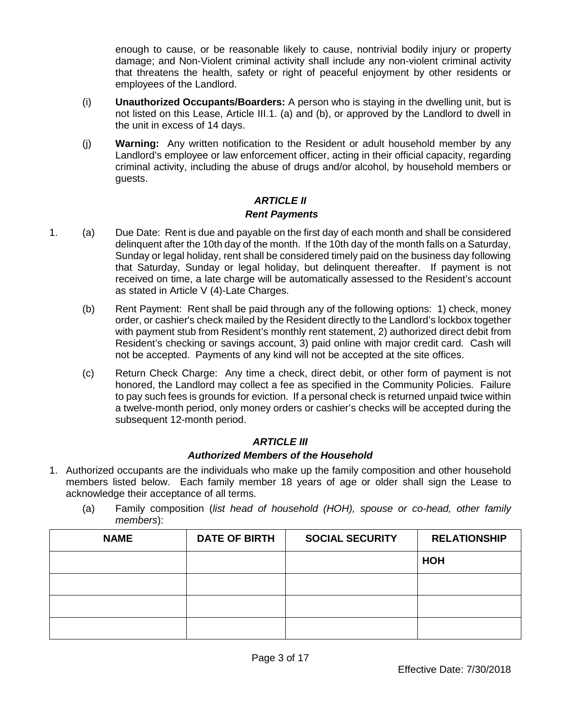enough to cause, or be reasonable likely to cause, nontrivial bodily injury or property damage; and Non-Violent criminal activity shall include any non-violent criminal activity that threatens the health, safety or right of peaceful enjoyment by other residents or employees of the Landlord.

- (i) **Unauthorized Occupants/Boarders:** A person who is staying in the dwelling unit, but is not listed on this Lease, Article III.1. (a) and (b), or approved by the Landlord to dwell in the unit in excess of 14 days.
- (j) **Warning:** Any written notification to the Resident or adult household member by any Landlord's employee or law enforcement officer, acting in their official capacity, regarding criminal activity, including the abuse of drugs and/or alcohol, by household members or guests.

# *ARTICLE II Rent Payments*

- 1. (a) Due Date: Rent is due and payable on the first day of each month and shall be considered delinquent after the 10th day of the month. If the 10th day of the month falls on a Saturday, Sunday or legal holiday, rent shall be considered timely paid on the business day following that Saturday, Sunday or legal holiday, but delinquent thereafter. If payment is not received on time, a late charge will be automatically assessed to the Resident's account as stated in Article V (4)-Late Charges.
	- (b) Rent Payment: Rent shall be paid through any of the following options: 1) check, money order, or cashier's check mailed by the Resident directly to the Landlord's lockbox together with payment stub from Resident's monthly rent statement, 2) authorized direct debit from Resident's checking or savings account, 3) paid online with major credit card. Cash will not be accepted. Payments of any kind will not be accepted at the site offices.
	- (c) Return Check Charge: Any time a check, direct debit, or other form of payment is not honored, the Landlord may collect a fee as specified in the Community Policies. Failure to pay such fees is grounds for eviction. If a personal check is returned unpaid twice within a twelve-month period, only money orders or cashier's checks will be accepted during the subsequent 12-month period.

# *ARTICLE III*

# *Authorized Members of the Household*

- 1. Authorized occupants are the individuals who make up the family composition and other household members listed below. Each family member 18 years of age or older shall sign the Lease to acknowledge their acceptance of all terms.
	- (a) Family composition (*list head of household (HOH), spouse or co-head, other family members*):

| <b>NAME</b> | <b>DATE OF BIRTH</b> | <b>SOCIAL SECURITY</b> | <b>RELATIONSHIP</b> |
|-------------|----------------------|------------------------|---------------------|
|             |                      |                        | HOH                 |
|             |                      |                        |                     |
|             |                      |                        |                     |
|             |                      |                        |                     |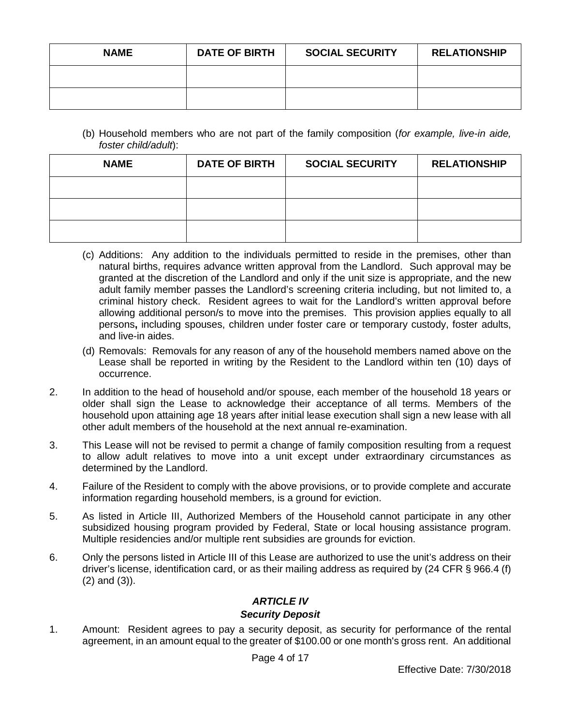| <b>NAME</b> | <b>DATE OF BIRTH</b> | <b>SOCIAL SECURITY</b> | <b>RELATIONSHIP</b> |
|-------------|----------------------|------------------------|---------------------|
|             |                      |                        |                     |
|             |                      |                        |                     |

(b) Household members who are not part of the family composition (*for example, live-in aide, foster child/adult*):

| <b>NAME</b> | <b>DATE OF BIRTH</b> | <b>SOCIAL SECURITY</b> | <b>RELATIONSHIP</b> |
|-------------|----------------------|------------------------|---------------------|
|             |                      |                        |                     |
|             |                      |                        |                     |
|             |                      |                        |                     |

- (c) Additions: Any addition to the individuals permitted to reside in the premises, other than natural births, requires advance written approval from the Landlord. Such approval may be granted at the discretion of the Landlord and only if the unit size is appropriate, and the new adult family member passes the Landlord's screening criteria including, but not limited to, a criminal history check. Resident agrees to wait for the Landlord's written approval before allowing additional person/s to move into the premises. This provision applies equally to all persons**,** including spouses, children under foster care or temporary custody, foster adults, and live-in aides.
- (d) Removals: Removals for any reason of any of the household members named above on the Lease shall be reported in writing by the Resident to the Landlord within ten (10) days of occurrence.
- 2. In addition to the head of household and/or spouse, each member of the household 18 years or older shall sign the Lease to acknowledge their acceptance of all terms. Members of the household upon attaining age 18 years after initial lease execution shall sign a new lease with all other adult members of the household at the next annual re-examination.
- 3. This Lease will not be revised to permit a change of family composition resulting from a request to allow adult relatives to move into a unit except under extraordinary circumstances as determined by the Landlord.
- 4. Failure of the Resident to comply with the above provisions, or to provide complete and accurate information regarding household members, is a ground for eviction.
- 5. As listed in Article III, Authorized Members of the Household cannot participate in any other subsidized housing program provided by Federal, State or local housing assistance program. Multiple residencies and/or multiple rent subsidies are grounds for eviction.
- 6. Only the persons listed in Article III of this Lease are authorized to use the unit's address on their driver's license, identification card, or as their mailing address as required by (24 CFR § 966.4 (f) (2) and (3)).

# *ARTICLE IV*

### *Security Deposit*

1. Amount: Resident agrees to pay a security deposit, as security for performance of the rental agreement, in an amount equal to the greater of \$100.00 or one month's gross rent. An additional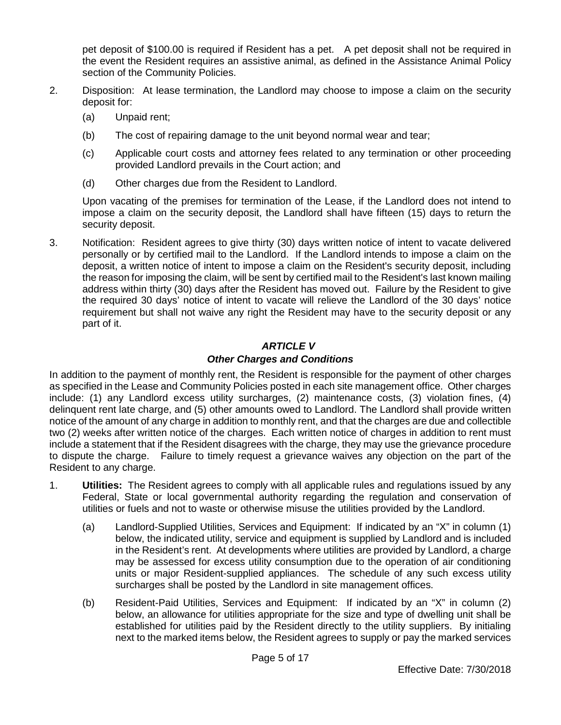pet deposit of \$100.00 is required if Resident has a pet. A pet deposit shall not be required in the event the Resident requires an assistive animal, as defined in the Assistance Animal Policy section of the Community Policies.

- 2. Disposition: At lease termination, the Landlord may choose to impose a claim on the security deposit for:
	- (a) Unpaid rent;
	- (b) The cost of repairing damage to the unit beyond normal wear and tear;
	- (c) Applicable court costs and attorney fees related to any termination or other proceeding provided Landlord prevails in the Court action; and
	- (d) Other charges due from the Resident to Landlord.

Upon vacating of the premises for termination of the Lease, if the Landlord does not intend to impose a claim on the security deposit, the Landlord shall have fifteen (15) days to return the security deposit.

3. Notification: Resident agrees to give thirty (30) days written notice of intent to vacate delivered personally or by certified mail to the Landlord. If the Landlord intends to impose a claim on the deposit, a written notice of intent to impose a claim on the Resident's security deposit, including the reason for imposing the claim, will be sent by certified mail to the Resident's last known mailing address within thirty (30) days after the Resident has moved out. Failure by the Resident to give the required 30 days' notice of intent to vacate will relieve the Landlord of the 30 days' notice requirement but shall not waive any right the Resident may have to the security deposit or any part of it.

# *ARTICLE V*

# *Other Charges and Conditions*

In addition to the payment of monthly rent, the Resident is responsible for the payment of other charges as specified in the Lease and Community Policies posted in each site management office. Other charges include: (1) any Landlord excess utility surcharges, (2) maintenance costs, (3) violation fines, (4) delinquent rent late charge, and (5) other amounts owed to Landlord. The Landlord shall provide written notice of the amount of any charge in addition to monthly rent, and that the charges are due and collectible two (2) weeks after written notice of the charges. Each written notice of charges in addition to rent must include a statement that if the Resident disagrees with the charge, they may use the grievance procedure to dispute the charge. Failure to timely request a grievance waives any objection on the part of the Resident to any charge.

- 1. **Utilities:** The Resident agrees to comply with all applicable rules and regulations issued by any Federal, State or local governmental authority regarding the regulation and conservation of utilities or fuels and not to waste or otherwise misuse the utilities provided by the Landlord.
	- (a) Landlord-Supplied Utilities, Services and Equipment: If indicated by an "X" in column (1) below, the indicated utility, service and equipment is supplied by Landlord and is included in the Resident's rent. At developments where utilities are provided by Landlord, a charge may be assessed for excess utility consumption due to the operation of air conditioning units or major Resident-supplied appliances. The schedule of any such excess utility surcharges shall be posted by the Landlord in site management offices.
	- (b) Resident-Paid Utilities, Services and Equipment: If indicated by an "X" in column (2) below, an allowance for utilities appropriate for the size and type of dwelling unit shall be established for utilities paid by the Resident directly to the utility suppliers. By initialing next to the marked items below, the Resident agrees to supply or pay the marked services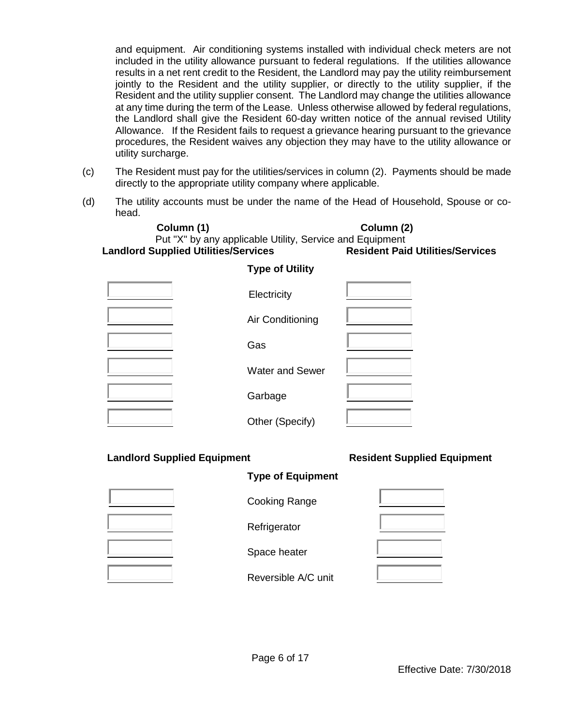and equipment. Air conditioning systems installed with individual check meters are not included in the utility allowance pursuant to federal regulations. If the utilities allowance results in a net rent credit to the Resident, the Landlord may pay the utility reimbursement jointly to the Resident and the utility supplier, or directly to the utility supplier, if the Resident and the utility supplier consent. The Landlord may change the utilities allowance at any time during the term of the Lease. Unless otherwise allowed by federal regulations, the Landlord shall give the Resident 60-day written notice of the annual revised Utility Allowance. If the Resident fails to request a grievance hearing pursuant to the grievance procedures, the Resident waives any objection they may have to the utility allowance or utility surcharge.

- (c) The Resident must pay for the utilities/services in column (2). Payments should be made directly to the appropriate utility company where applicable.
- (d) The utility accounts must be under the name of the Head of Household, Spouse or cohead.

**Column (1) Column (2)** Put "X" by any applicable Utility, Service and Equipment<br> **upplied Utilities/Services**<br> **Resident Paid Utilities/Services Landlord Supplied Utilities/Services** 

| Electricity            |  |
|------------------------|--|
| Air Conditioning       |  |
| Gas                    |  |
| <b>Water and Sewer</b> |  |
| Garbage                |  |
| Other (Specify)        |  |

**Type of Utility** 

#### **Landlord Supplied Equipment Resident Supplied Equipment**

#### **Type of Equipment**



Cooking Range

**Refrigerator** 

Space heater

Reversible A/C unit

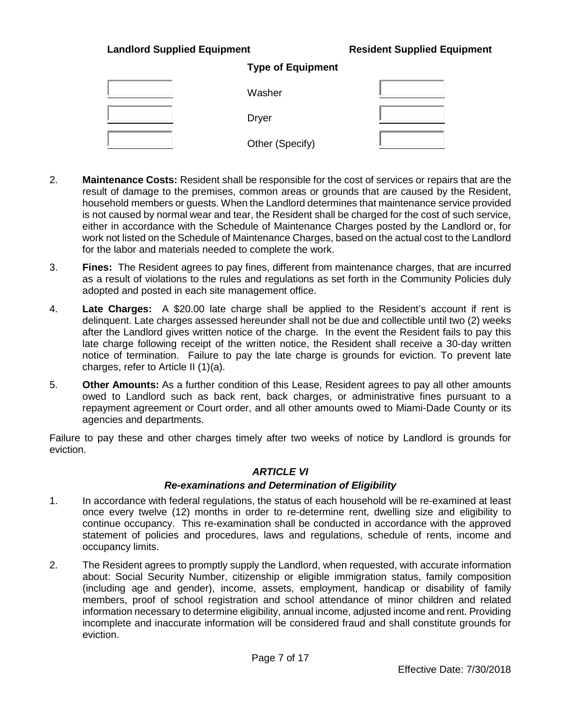#### **Landlord Supplied Equipment Resident Supplied Equipment**

| Washer          |  |
|-----------------|--|
| <b>Dryer</b>    |  |
| Other (Specify) |  |

**Type of Equipment**

- 2. **Maintenance Costs:** Resident shall be responsible for the cost of services or repairs that are the result of damage to the premises, common areas or grounds that are caused by the Resident, household members or guests. When the Landlord determines that maintenance service provided is not caused by normal wear and tear, the Resident shall be charged for the cost of such service, either in accordance with the Schedule of Maintenance Charges posted by the Landlord or, for work not listed on the Schedule of Maintenance Charges, based on the actual cost to the Landlord for the labor and materials needed to complete the work.
- 3. **Fines:** The Resident agrees to pay fines, different from maintenance charges, that are incurred as a result of violations to the rules and regulations as set forth in the Community Policies duly adopted and posted in each site management office.
- 4. **Late Charges:** A \$20.00 late charge shall be applied to the Resident's account if rent is delinquent. Late charges assessed hereunder shall not be due and collectible until two (2) weeks after the Landlord gives written notice of the charge. In the event the Resident fails to pay this late charge following receipt of the written notice, the Resident shall receive a 30-day written notice of termination. Failure to pay the late charge is grounds for eviction. To prevent late charges, refer to Article II (1)(a).
- 5. **Other Amounts:** As a further condition of this Lease, Resident agrees to pay all other amounts owed to Landlord such as back rent, back charges, or administrative fines pursuant to a repayment agreement or Court order, and all other amounts owed to Miami-Dade County or its agencies and departments.

Failure to pay these and other charges timely after two weeks of notice by Landlord is grounds for eviction.

#### *ARTICLE VI*

#### *Re-examinations and Determination of Eligibility*

- 1. In accordance with federal regulations, the status of each household will be re-examined at least once every twelve (12) months in order to re-determine rent, dwelling size and eligibility to continue occupancy. This re-examination shall be conducted in accordance with the approved statement of policies and procedures, laws and regulations, schedule of rents, income and occupancy limits.
- 2. The Resident agrees to promptly supply the Landlord, when requested, with accurate information about: Social Security Number, citizenship or eligible immigration status, family composition (including age and gender), income, assets, employment, handicap or disability of family members, proof of school registration and school attendance of minor children and related information necessary to determine eligibility, annual income, adjusted income and rent. Providing incomplete and inaccurate information will be considered fraud and shall constitute grounds for eviction.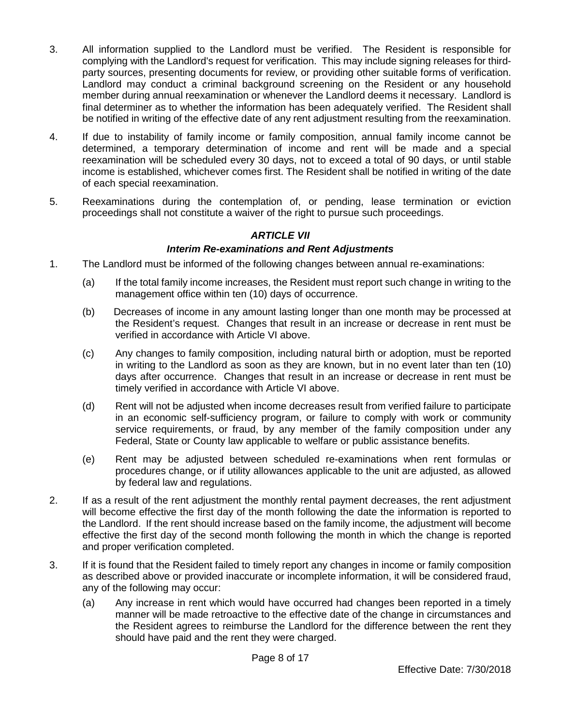- 3. All information supplied to the Landlord must be verified. The Resident is responsible for complying with the Landlord's request for verification. This may include signing releases for thirdparty sources, presenting documents for review, or providing other suitable forms of verification. Landlord may conduct a criminal background screening on the Resident or any household member during annual reexamination or whenever the Landlord deems it necessary. Landlord is final determiner as to whether the information has been adequately verified. The Resident shall be notified in writing of the effective date of any rent adjustment resulting from the reexamination.
- 4. If due to instability of family income or family composition, annual family income cannot be determined, a temporary determination of income and rent will be made and a special reexamination will be scheduled every 30 days, not to exceed a total of 90 days, or until stable income is established, whichever comes first. The Resident shall be notified in writing of the date of each special reexamination.
- 5. Reexaminations during the contemplation of, or pending, lease termination or eviction proceedings shall not constitute a waiver of the right to pursue such proceedings.

# *ARTICLE VII*

### *Interim Re-examinations and Rent Adjustments*

- 1. The Landlord must be informed of the following changes between annual re-examinations:
	- (a) If the total family income increases, the Resident must report such change in writing to the management office within ten (10) days of occurrence.
	- (b) Decreases of income in any amount lasting longer than one month may be processed at the Resident's request. Changes that result in an increase or decrease in rent must be verified in accordance with Article VI above.
	- (c) Any changes to family composition, including natural birth or adoption, must be reported in writing to the Landlord as soon as they are known, but in no event later than ten (10) days after occurrence. Changes that result in an increase or decrease in rent must be timely verified in accordance with Article VI above.
	- (d) Rent will not be adjusted when income decreases result from verified failure to participate in an economic self-sufficiency program, or failure to comply with work or community service requirements, or fraud, by any member of the family composition under any Federal, State or County law applicable to welfare or public assistance benefits.
	- (e) Rent may be adjusted between scheduled re-examinations when rent formulas or procedures change, or if utility allowances applicable to the unit are adjusted, as allowed by federal law and regulations.
- 2. If as a result of the rent adjustment the monthly rental payment decreases, the rent adjustment will become effective the first day of the month following the date the information is reported to the Landlord. If the rent should increase based on the family income, the adjustment will become effective the first day of the second month following the month in which the change is reported and proper verification completed.
- 3. If it is found that the Resident failed to timely report any changes in income or family composition as described above or provided inaccurate or incomplete information, it will be considered fraud, any of the following may occur:
	- (a) Any increase in rent which would have occurred had changes been reported in a timely manner will be made retroactive to the effective date of the change in circumstances and the Resident agrees to reimburse the Landlord for the difference between the rent they should have paid and the rent they were charged.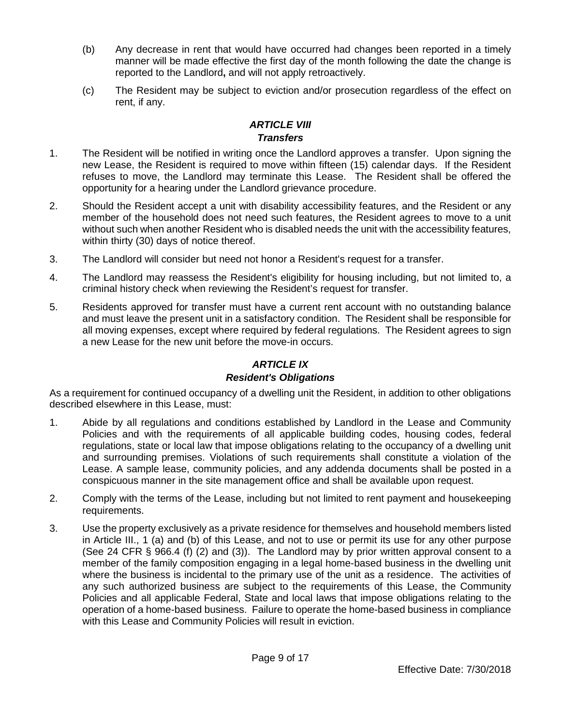- (b) Any decrease in rent that would have occurred had changes been reported in a timely manner will be made effective the first day of the month following the date the change is reported to the Landlord**,** and will not apply retroactively.
- (c) The Resident may be subject to eviction and/or prosecution regardless of the effect on rent, if any.

# *ARTICLE VIII Transfers*

- 1. The Resident will be notified in writing once the Landlord approves a transfer. Upon signing the new Lease, the Resident is required to move within fifteen (15) calendar days. If the Resident refuses to move, the Landlord may terminate this Lease. The Resident shall be offered the opportunity for a hearing under the Landlord grievance procedure.
- 2. Should the Resident accept a unit with disability accessibility features, and the Resident or any member of the household does not need such features, the Resident agrees to move to a unit without such when another Resident who is disabled needs the unit with the accessibility features, within thirty (30) days of notice thereof.
- 3. The Landlord will consider but need not honor a Resident's request for a transfer.
- 4. The Landlord may reassess the Resident's eligibility for housing including, but not limited to, a criminal history check when reviewing the Resident's request for transfer.
- 5. Residents approved for transfer must have a current rent account with no outstanding balance and must leave the present unit in a satisfactory condition. The Resident shall be responsible for all moving expenses, except where required by federal regulations. The Resident agrees to sign a new Lease for the new unit before the move-in occurs.

# *ARTICLE IX*

# *Resident's Obligations*

As a requirement for continued occupancy of a dwelling unit the Resident, in addition to other obligations described elsewhere in this Lease, must:

- 1. Abide by all regulations and conditions established by Landlord in the Lease and Community Policies and with the requirements of all applicable building codes, housing codes, federal regulations, state or local law that impose obligations relating to the occupancy of a dwelling unit and surrounding premises. Violations of such requirements shall constitute a violation of the Lease. A sample lease, community policies, and any addenda documents shall be posted in a conspicuous manner in the site management office and shall be available upon request.
- 2. Comply with the terms of the Lease, including but not limited to rent payment and housekeeping requirements.
- 3. Use the property exclusively as a private residence for themselves and household members listed in Article III., 1 (a) and (b) of this Lease, and not to use or permit its use for any other purpose (See 24 CFR § 966.4 (f) (2) and (3)). The Landlord may by prior written approval consent to a member of the family composition engaging in a legal home-based business in the dwelling unit where the business is incidental to the primary use of the unit as a residence. The activities of any such authorized business are subject to the requirements of this Lease, the Community Policies and all applicable Federal, State and local laws that impose obligations relating to the operation of a home-based business. Failure to operate the home-based business in compliance with this Lease and Community Policies will result in eviction.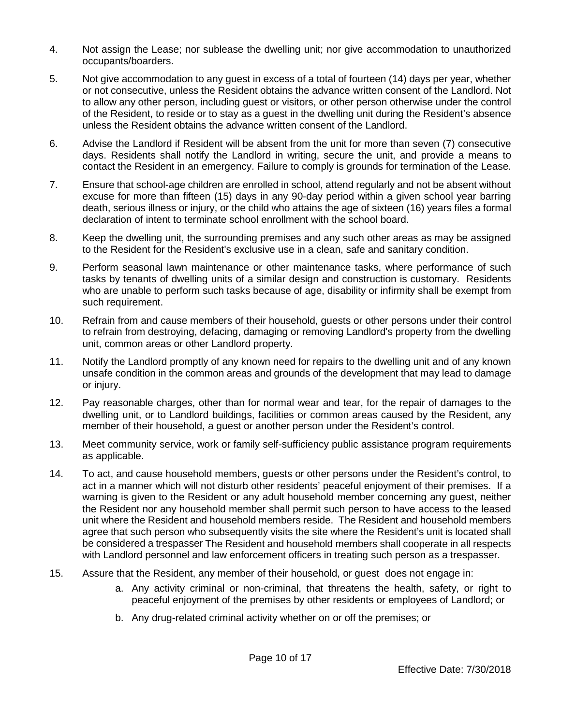- 4. Not assign the Lease; nor sublease the dwelling unit; nor give accommodation to unauthorized occupants/boarders.
- 5. Not give accommodation to any guest in excess of a total of fourteen (14) days per year, whether or not consecutive, unless the Resident obtains the advance written consent of the Landlord. Not to allow any other person, including guest or visitors, or other person otherwise under the control of the Resident, to reside or to stay as a guest in the dwelling unit during the Resident's absence unless the Resident obtains the advance written consent of the Landlord.
- 6. Advise the Landlord if Resident will be absent from the unit for more than seven (7) consecutive days. Residents shall notify the Landlord in writing, secure the unit, and provide a means to contact the Resident in an emergency. Failure to comply is grounds for termination of the Lease.
- 7. Ensure that school-age children are enrolled in school, attend regularly and not be absent without excuse for more than fifteen (15) days in any 90-day period within a given school year barring death, serious illness or injury, or the child who attains the age of sixteen (16) years files a formal declaration of intent to terminate school enrollment with the school board.
- 8. Keep the dwelling unit, the surrounding premises and any such other areas as may be assigned to the Resident for the Resident's exclusive use in a clean, safe and sanitary condition.
- 9. Perform seasonal lawn maintenance or other maintenance tasks, where performance of such tasks by tenants of dwelling units of a similar design and construction is customary. Residents who are unable to perform such tasks because of age, disability or infirmity shall be exempt from such requirement.
- 10. Refrain from and cause members of their household, guests or other persons under their control to refrain from destroying, defacing, damaging or removing Landlord's property from the dwelling unit, common areas or other Landlord property.
- 11. Notify the Landlord promptly of any known need for repairs to the dwelling unit and of any known unsafe condition in the common areas and grounds of the development that may lead to damage or injury.
- 12. Pay reasonable charges, other than for normal wear and tear, for the repair of damages to the dwelling unit, or to Landlord buildings, facilities or common areas caused by the Resident, any member of their household, a guest or another person under the Resident's control.
- 13. Meet community service, work or family self-sufficiency public assistance program requirements as applicable.
- 14. To act, and cause household members, guests or other persons under the Resident's control, to act in a manner which will not disturb other residents' peaceful enjoyment of their premises. If a warning is given to the Resident or any adult household member concerning any guest, neither the Resident nor any household member shall permit such person to have access to the leased unit where the Resident and household members reside. The Resident and household members agree that such person who subsequently visits the site where the Resident's unit is located shall be considered a trespasser The Resident and household members shall cooperate in all respects with Landlord personnel and law enforcement officers in treating such person as a trespasser.
- 15. Assure that the Resident, any member of their household, or guest does not engage in:
	- a. Any activity criminal or non-criminal, that threatens the health, safety, or right to peaceful enjoyment of the premises by other residents or employees of Landlord; or
	- b. Any drug-related criminal activity whether on or off the premises; or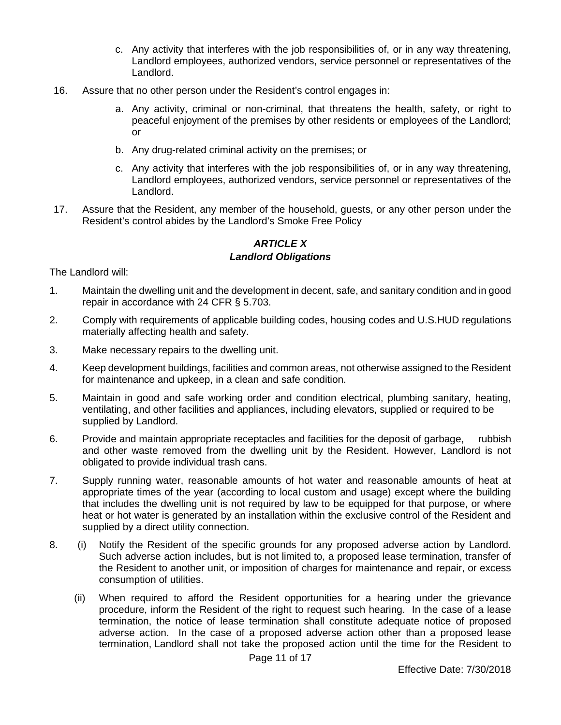- c. Any activity that interferes with the job responsibilities of, or in any way threatening, Landlord employees, authorized vendors, service personnel or representatives of the Landlord.
- 16. Assure that no other person under the Resident's control engages in:
	- a. Any activity, criminal or non-criminal, that threatens the health, safety, or right to peaceful enjoyment of the premises by other residents or employees of the Landlord; or
	- b. Any drug-related criminal activity on the premises; or
	- c. Any activity that interferes with the job responsibilities of, or in any way threatening, Landlord employees, authorized vendors, service personnel or representatives of the Landlord.
- 17. Assure that the Resident, any member of the household, guests, or any other person under the Resident's control abides by the Landlord's Smoke Free Policy

## *ARTICLE X Landlord Obligations*

The Landlord will:

- 1. Maintain the dwelling unit and the development in decent, safe, and sanitary condition and in good repair in accordance with 24 CFR § 5.703.
- 2. Comply with requirements of applicable building codes, housing codes and U.S.HUD regulations materially affecting health and safety.
- 3. Make necessary repairs to the dwelling unit.
- 4. Keep development buildings, facilities and common areas, not otherwise assigned to the Resident for maintenance and upkeep, in a clean and safe condition.
- 5. Maintain in good and safe working order and condition electrical, plumbing sanitary, heating, ventilating, and other facilities and appliances, including elevators, supplied or required to be supplied by Landlord.
- 6. Provide and maintain appropriate receptacles and facilities for the deposit of garbage, rubbish and other waste removed from the dwelling unit by the Resident. However, Landlord is not obligated to provide individual trash cans.
- 7. Supply running water, reasonable amounts of hot water and reasonable amounts of heat at appropriate times of the year (according to local custom and usage) except where the building that includes the dwelling unit is not required by law to be equipped for that purpose, or where heat or hot water is generated by an installation within the exclusive control of the Resident and supplied by a direct utility connection.
- 8. (i) Notify the Resident of the specific grounds for any proposed adverse action by Landlord. Such adverse action includes, but is not limited to, a proposed lease termination, transfer of the Resident to another unit, or imposition of charges for maintenance and repair, or excess consumption of utilities.
	- (ii) When required to afford the Resident opportunities for a hearing under the grievance procedure, inform the Resident of the right to request such hearing. In the case of a lease termination, the notice of lease termination shall constitute adequate notice of proposed adverse action. In the case of a proposed adverse action other than a proposed lease termination, Landlord shall not take the proposed action until the time for the Resident to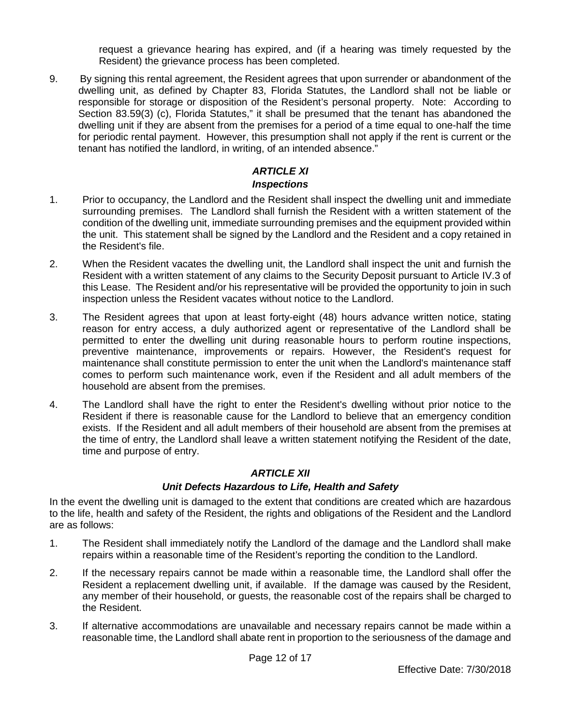request a grievance hearing has expired, and (if a hearing was timely requested by the Resident) the grievance process has been completed.

9. By signing this rental agreement, the Resident agrees that upon surrender or abandonment of the dwelling unit, as defined by Chapter 83, Florida Statutes, the Landlord shall not be liable or responsible for storage or disposition of the Resident's personal property. Note: According to Section 83.59(3) (c), Florida Statutes," it shall be presumed that the tenant has abandoned the dwelling unit if they are absent from the premises for a period of a time equal to one-half the time for periodic rental payment. However, this presumption shall not apply if the rent is current or the tenant has notified the landlord, in writing, of an intended absence."

# *ARTICLE XI*

#### *Inspections*

- 1. Prior to occupancy, the Landlord and the Resident shall inspect the dwelling unit and immediate surrounding premises. The Landlord shall furnish the Resident with a written statement of the condition of the dwelling unit, immediate surrounding premises and the equipment provided within the unit. This statement shall be signed by the Landlord and the Resident and a copy retained in the Resident's file.
- 2. When the Resident vacates the dwelling unit, the Landlord shall inspect the unit and furnish the Resident with a written statement of any claims to the Security Deposit pursuant to Article IV.3 of this Lease. The Resident and/or his representative will be provided the opportunity to join in such inspection unless the Resident vacates without notice to the Landlord.
- 3. The Resident agrees that upon at least forty-eight (48) hours advance written notice, stating reason for entry access, a duly authorized agent or representative of the Landlord shall be permitted to enter the dwelling unit during reasonable hours to perform routine inspections, preventive maintenance, improvements or repairs. However, the Resident's request for maintenance shall constitute permission to enter the unit when the Landlord's maintenance staff comes to perform such maintenance work, even if the Resident and all adult members of the household are absent from the premises.
- 4. The Landlord shall have the right to enter the Resident's dwelling without prior notice to the Resident if there is reasonable cause for the Landlord to believe that an emergency condition exists. If the Resident and all adult members of their household are absent from the premises at the time of entry, the Landlord shall leave a written statement notifying the Resident of the date, time and purpose of entry.

# *ARTICLE XII*

# *Unit Defects Hazardous to Life, Health and Safety*

In the event the dwelling unit is damaged to the extent that conditions are created which are hazardous to the life, health and safety of the Resident, the rights and obligations of the Resident and the Landlord are as follows:

- 1. The Resident shall immediately notify the Landlord of the damage and the Landlord shall make repairs within a reasonable time of the Resident's reporting the condition to the Landlord.
- 2. If the necessary repairs cannot be made within a reasonable time, the Landlord shall offer the Resident a replacement dwelling unit, if available. If the damage was caused by the Resident, any member of their household, or guests, the reasonable cost of the repairs shall be charged to the Resident.
- 3. If alternative accommodations are unavailable and necessary repairs cannot be made within a reasonable time, the Landlord shall abate rent in proportion to the seriousness of the damage and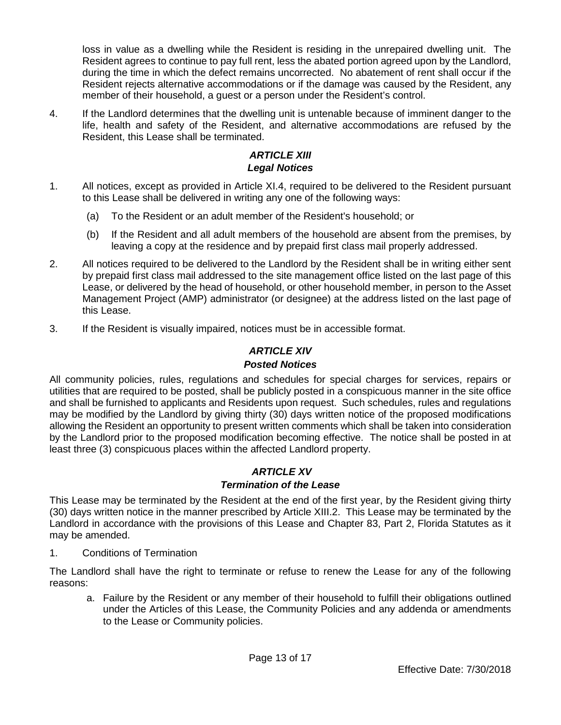loss in value as a dwelling while the Resident is residing in the unrepaired dwelling unit. The Resident agrees to continue to pay full rent, less the abated portion agreed upon by the Landlord, during the time in which the defect remains uncorrected. No abatement of rent shall occur if the Resident rejects alternative accommodations or if the damage was caused by the Resident, any member of their household, a guest or a person under the Resident's control.

4. If the Landlord determines that the dwelling unit is untenable because of imminent danger to the life, health and safety of the Resident, and alternative accommodations are refused by the Resident, this Lease shall be terminated.

# *ARTICLE XIII Legal Notices*

- 1. All notices, except as provided in Article XI.4, required to be delivered to the Resident pursuant to this Lease shall be delivered in writing any one of the following ways:
	- (a) To the Resident or an adult member of the Resident's household; or
	- (b) If the Resident and all adult members of the household are absent from the premises, by leaving a copy at the residence and by prepaid first class mail properly addressed.
- 2. All notices required to be delivered to the Landlord by the Resident shall be in writing either sent by prepaid first class mail addressed to the site management office listed on the last page of this Lease, or delivered by the head of household, or other household member, in person to the Asset Management Project (AMP) administrator (or designee) at the address listed on the last page of this Lease.
- 3. If the Resident is visually impaired, notices must be in accessible format.

# *ARTICLE XIV*

# *Posted Notices*

All community policies, rules, regulations and schedules for special charges for services, repairs or utilities that are required to be posted, shall be publicly posted in a conspicuous manner in the site office and shall be furnished to applicants and Residents upon request. Such schedules, rules and regulations may be modified by the Landlord by giving thirty (30) days written notice of the proposed modifications allowing the Resident an opportunity to present written comments which shall be taken into consideration by the Landlord prior to the proposed modification becoming effective. The notice shall be posted in at least three (3) conspicuous places within the affected Landlord property.

# *ARTICLE XV*

# *Termination of the Lease*

This Lease may be terminated by the Resident at the end of the first year, by the Resident giving thirty (30) days written notice in the manner prescribed by Article XIII.2. This Lease may be terminated by the Landlord in accordance with the provisions of this Lease and Chapter 83, Part 2, Florida Statutes as it may be amended.

1. Conditions of Termination

The Landlord shall have the right to terminate or refuse to renew the Lease for any of the following reasons:

a. Failure by the Resident or any member of their household to fulfill their obligations outlined under the Articles of this Lease, the Community Policies and any addenda or amendments to the Lease or Community policies.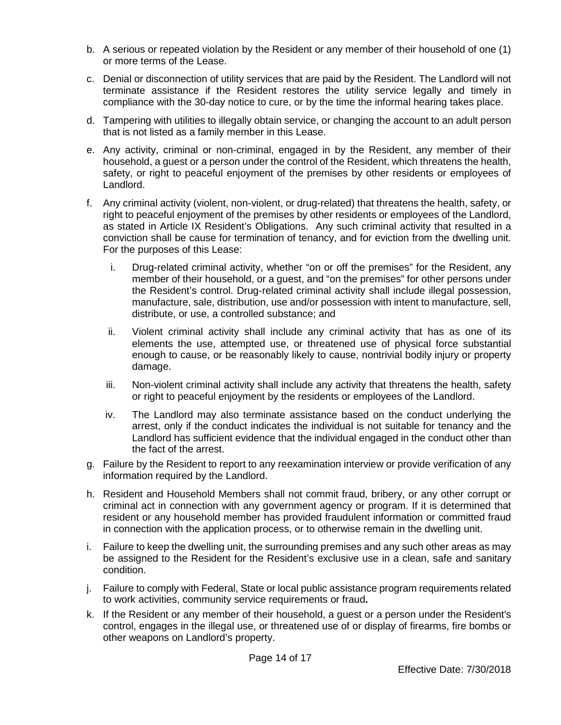- b. A serious or repeated violation by the Resident or any member of their household of one (1) or more terms of the Lease.
- c. Denial or disconnection of utility services that are paid by the Resident. The Landlord will not terminate assistance if the Resident restores the utility service legally and timely in compliance with the 30-day notice to cure, or by the time the informal hearing takes place.
- d. Tampering with utilities to illegally obtain service, or changing the account to an adult person that is not listed as a family member in this Lease.
- e. Any activity, criminal or non-criminal, engaged in by the Resident, any member of their household, a guest or a person under the control of the Resident, which threatens the health, safety, or right to peaceful enjoyment of the premises by other residents or employees of Landlord.
- f. Any criminal activity (violent, non-violent, or drug-related) that threatens the health, safety, or right to peaceful enjoyment of the premises by other residents or employees of the Landlord, as stated in Article IX Resident's Obligations. Any such criminal activity that resulted in a conviction shall be cause for termination of tenancy, and for eviction from the dwelling unit. For the purposes of this Lease:
	- i. Drug-related criminal activity, whether "on or off the premises" for the Resident, any member of their household, or a guest, and "on the premises" for other persons under the Resident's control. Drug-related criminal activity shall include illegal possession, manufacture, sale, distribution, use and/or possession with intent to manufacture, sell, distribute, or use, a controlled substance; and
	- ii. Violent criminal activity shall include any criminal activity that has as one of its elements the use, attempted use, or threatened use of physical force substantial enough to cause, or be reasonably likely to cause, nontrivial bodily injury or property damage.
	- iii. Non-violent criminal activity shall include any activity that threatens the health, safety or right to peaceful enjoyment by the residents or employees of the Landlord.
	- iv. The Landlord may also terminate assistance based on the conduct underlying the arrest, only if the conduct indicates the individual is not suitable for tenancy and the Landlord has sufficient evidence that the individual engaged in the conduct other than the fact of the arrest.
- g. Failure by the Resident to report to any reexamination interview or provide verification of any information required by the Landlord.
- h. Resident and Household Members shall not commit fraud, bribery, or any other corrupt or criminal act in connection with any government agency or program. If it is determined that resident or any household member has provided fraudulent information or committed fraud in connection with the application process, or to otherwise remain in the dwelling unit.
- i. Failure to keep the dwelling unit, the surrounding premises and any such other areas as may be assigned to the Resident for the Resident's exclusive use in a clean, safe and sanitary condition.
- j. Failure to comply with Federal, State or local public assistance program requirements related to work activities, community service requirements or fraud**.**
- k. If the Resident or any member of their household, a guest or a person under the Resident's control, engages in the illegal use, or threatened use of or display of firearms, fire bombs or other weapons on Landlord's property.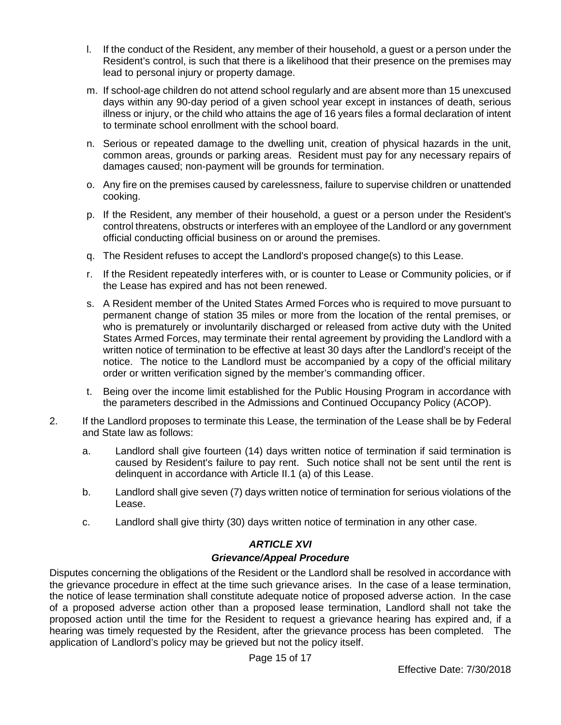- l. If the conduct of the Resident, any member of their household, a guest or a person under the Resident's control, is such that there is a likelihood that their presence on the premises may lead to personal injury or property damage.
- m. If school-age children do not attend school regularly and are absent more than 15 unexcused days within any 90-day period of a given school year except in instances of death, serious illness or injury, or the child who attains the age of 16 years files a formal declaration of intent to terminate school enrollment with the school board.
- n. Serious or repeated damage to the dwelling unit, creation of physical hazards in the unit, common areas, grounds or parking areas. Resident must pay for any necessary repairs of damages caused; non-payment will be grounds for termination.
- o. Any fire on the premises caused by carelessness, failure to supervise children or unattended cooking.
- p. If the Resident, any member of their household, a guest or a person under the Resident's control threatens, obstructs or interferes with an employee of the Landlord or any government official conducting official business on or around the premises.
- q. The Resident refuses to accept the Landlord's proposed change(s) to this Lease.
- r. If the Resident repeatedly interferes with, or is counter to Lease or Community policies, or if the Lease has expired and has not been renewed.
- s. A Resident member of the United States Armed Forces who is required to move pursuant to permanent change of station 35 miles or more from the location of the rental premises, or who is prematurely or involuntarily discharged or released from active duty with the United States Armed Forces, may terminate their rental agreement by providing the Landlord with a written notice of termination to be effective at least 30 days after the Landlord's receipt of the notice. The notice to the Landlord must be accompanied by a copy of the official military order or written verification signed by the member's commanding officer.
- t. Being over the income limit established for the Public Housing Program in accordance with the parameters described in the Admissions and Continued Occupancy Policy (ACOP).
- 2. If the Landlord proposes to terminate this Lease, the termination of the Lease shall be by Federal and State law as follows:
	- a. Landlord shall give fourteen (14) days written notice of termination if said termination is caused by Resident's failure to pay rent. Such notice shall not be sent until the rent is delinquent in accordance with Article II.1 (a) of this Lease.
	- b. Landlord shall give seven (7) days written notice of termination for serious violations of the Lease.
	- c. Landlord shall give thirty (30) days written notice of termination in any other case.

# *ARTICLE XVI*

# *Grievance/Appeal Procedure*

Disputes concerning the obligations of the Resident or the Landlord shall be resolved in accordance with the grievance procedure in effect at the time such grievance arises. In the case of a lease termination, the notice of lease termination shall constitute adequate notice of proposed adverse action. In the case of a proposed adverse action other than a proposed lease termination, Landlord shall not take the proposed action until the time for the Resident to request a grievance hearing has expired and, if a hearing was timely requested by the Resident, after the grievance process has been completed. The application of Landlord's policy may be grieved but not the policy itself.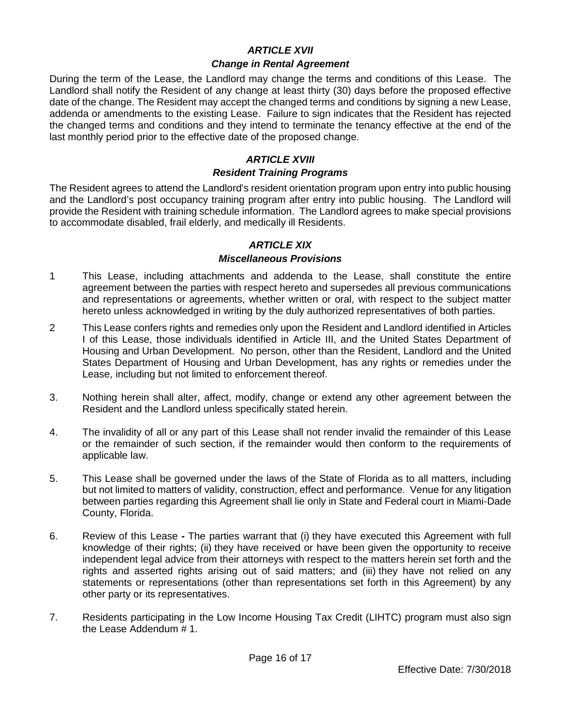### *ARTICLE XVII*

#### *Change in Rental Agreement*

During the term of the Lease, the Landlord may change the terms and conditions of this Lease. The Landlord shall notify the Resident of any change at least thirty (30) days before the proposed effective date of the change. The Resident may accept the changed terms and conditions by signing a new Lease, addenda or amendments to the existing Lease. Failure to sign indicates that the Resident has rejected the changed terms and conditions and they intend to terminate the tenancy effective at the end of the last monthly period prior to the effective date of the proposed change.

## *ARTICLE XVIII*

#### *Resident Training Programs*

The Resident agrees to attend the Landlord's resident orientation program upon entry into public housing and the Landlord's post occupancy training program after entry into public housing. The Landlord will provide the Resident with training schedule information. The Landlord agrees to make special provisions to accommodate disabled, frail elderly, and medically ill Residents.

# *ARTICLE XIX*

#### *Miscellaneous Provisions*

- 1 This Lease, including attachments and addenda to the Lease, shall constitute the entire agreement between the parties with respect hereto and supersedes all previous communications and representations or agreements, whether written or oral, with respect to the subject matter hereto unless acknowledged in writing by the duly authorized representatives of both parties.
- 2 This Lease confers rights and remedies only upon the Resident and Landlord identified in Articles I of this Lease, those individuals identified in Article III, and the United States Department of Housing and Urban Development. No person, other than the Resident, Landlord and the United States Department of Housing and Urban Development, has any rights or remedies under the Lease, including but not limited to enforcement thereof.
- 3. Nothing herein shall alter, affect, modify, change or extend any other agreement between the Resident and the Landlord unless specifically stated herein.
- 4. The invalidity of all or any part of this Lease shall not render invalid the remainder of this Lease or the remainder of such section, if the remainder would then conform to the requirements of applicable law.
- 5. This Lease shall be governed under the laws of the State of Florida as to all matters, including but not limited to matters of validity, construction, effect and performance. Venue for any litigation between parties regarding this Agreement shall lie only in State and Federal court in Miami-Dade County, Florida.
- 6. Review of this Lease **-** The parties warrant that (i) they have executed this Agreement with full knowledge of their rights; (ii) they have received or have been given the opportunity to receive independent legal advice from their attorneys with respect to the matters herein set forth and the rights and asserted rights arising out of said matters; and (iii) they have not relied on any statements or representations (other than representations set forth in this Agreement) by any other party or its representatives.
- 7. Residents participating in the Low Income Housing Tax Credit (LIHTC) program must also sign the Lease Addendum # 1.